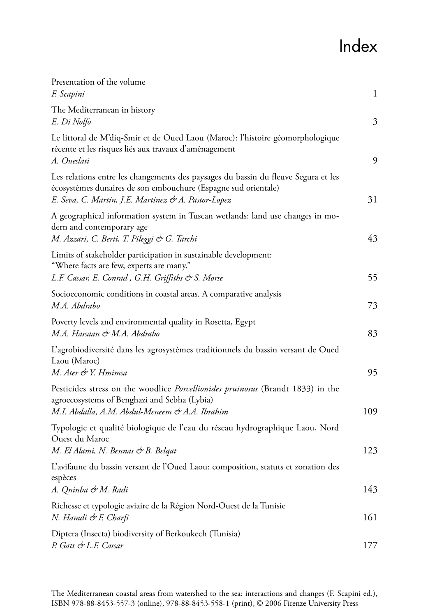## Index

| Presentation of the volume<br>F. Scapini                                                                                                                                                                    | $\mathbf{1}$ |
|-------------------------------------------------------------------------------------------------------------------------------------------------------------------------------------------------------------|--------------|
| The Mediterranean in history<br>E. Di Nolfo                                                                                                                                                                 | 3            |
| Le littoral de M'diq-Smir et de Oued Laou (Maroc): l'histoire géomorphologique<br>récente et les risques liés aux travaux d'aménagement<br>A. Oueslati                                                      | 9            |
| Les relations entre les changements des paysages du bassin du fleuve Segura et les<br>écosystèmes dunaires de son embouchure (Espagne sud orientale)<br>E. Seva, C. Martín, J.E. Martínez & A. Pastor-Lopez | 31           |
| A geographical information system in Tuscan wetlands: land use changes in mo-<br>dern and contemporary age<br>M. Azzari, C. Berti, T. Pileggi & G. Tarchi                                                   | 43           |
| Limits of stakeholder participation in sustainable development:<br>"Where facts are few, experts are many."<br>L.F. Cassar, E. Conrad, G.H. Griffiths & S. Morse                                            | 55           |
| Socioeconomic conditions in coastal areas. A comparative analysis<br>M.A. Abdrabo                                                                                                                           | 73           |
| Poverty levels and environmental quality in Rosetta, Egypt<br>M.A. Hassaan & M.A. Abdrabo                                                                                                                   | 83           |
| L'agrobiodiversité dans les agrosystèmes traditionnels du bassin versant de Oued<br>Laou (Maroc)<br>M. Ater & Y. Hmimsa                                                                                     | 95           |
| Pesticides stress on the woodlice Porcellionides pruinosus (Brandt 1833) in the<br>agroecosystems of Benghazi and Sebha (Lybia)<br>M.I. Abdalla, A.M. Abdul-Meneem & A.A. Ibrahim                           | 109          |
| Typologie et qualité biologique de l'eau du réseau hydrographique Laou, Nord<br>Ouest du Maroc                                                                                                              |              |
| M. El Alami, N. Bennas & B. Belgat<br>L'avifaune du bassin versant de l'Oued Laou: composition, statuts et zonation des<br>espèces                                                                          | 123          |
| A. Qninba & M. Radi<br>Richesse et typologie aviaire de la Région Nord-Ouest de la Tunisie                                                                                                                  | 143          |
| N. Hamdi & F. Charfi                                                                                                                                                                                        | 161          |
| Diptera (Insecta) biodiversity of Berkoukech (Tunisia)<br>P. Gatt & L.F. Cassar                                                                                                                             | 177          |
|                                                                                                                                                                                                             |              |